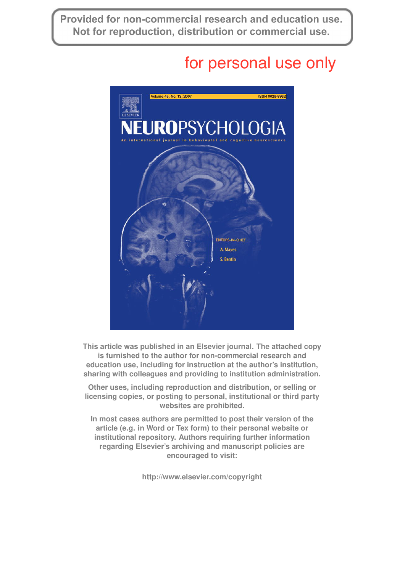Provided for non-commercial research and education use. Not for reproduction, distribution or commercial use.

# for personal use only



**This article was published in an Elsevier journal. The attached copy is furnished to the author for non-commercial research and education use, including for instruction at the author's institution, sharing with colleagues and providing to institution administration.**

**Other uses, including reproduction and distribution, or selling or licensing copies, or posting to personal, institutional or third party websites are prohibited.**

**In most cases authors are permitted to post their version of the article (e.g. in Word or Tex form) to their personal website or institutional repository. Authors requiring further information regarding Elsevier's archiving and manuscript policies are encouraged to visit:**

**<http://www.elsevier.com/copyright>**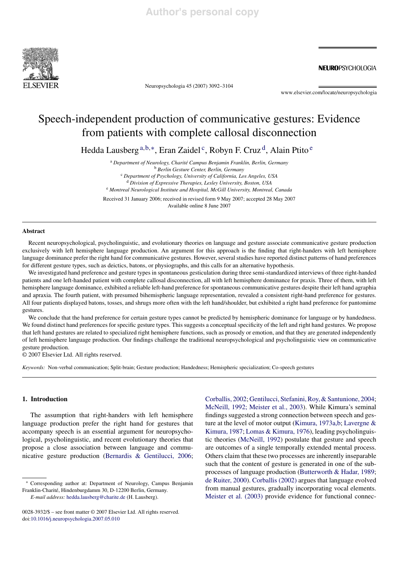

**NEUROPSYCHOLOGIA** 

Neuropsychologia 45 (2007) 3092–3104

www.elsevier.com/locate/neuropsychologia

# Speech-independent production of communicative gestures: Evidence from patients with complete callosal disconnection

Hedda Lausberg<sup>a,b,∗</sup>, Eran Zaidel<sup>c</sup>, Robyn F. Cruz<sup>d</sup>, Alain Ptito<sup>e</sup>

<sup>a</sup> Department of Neurology, Charité Campus Benjamin Franklin, Berlin, Germany <sup>b</sup> *Berlin Gesture Center, Berlin, Germany* <sup>c</sup> *Department of Psychology, University of California, Los Angeles, USA* <sup>d</sup> *Division of Expressive Therapies, Lesley University, Boston, USA* <sup>e</sup> *Montreal Neurological Institute and Hospital, McGill University, Montreal, Canada*

Received 31 January 2006; received in revised form 9 May 2007; accepted 28 May 2007 Available online 8 June 2007

#### **Abstract**

Recent neuropsychological, psycholinguistic, and evolutionary theories on language and gesture associate communicative gesture production exclusively with left hemisphere language production. An argument for this approach is the finding that right-handers with left hemisphere language dominance prefer the right hand for communicative gestures. However, several studies have reported distinct patterns of hand preferences for different gesture types, such as deictics, batons, or physiographs, and this calls for an alternative hypothesis.

We investigated hand preference and gesture types in spontaneous gesticulation during three semi-standardized interviews of three right-handed patients and one left-handed patient with complete callosal disconnection, all with left hemisphere dominance for praxis. Three of them, with left hemisphere language dominance, exhibited a reliable left-hand preference for spontaneous communicative gestures despite their left hand agraphia and apraxia. The fourth patient, with presumed bihemispheric language representation, revealed a consistent right-hand preference for gestures. All four patients displayed batons, tosses, and shrugs more often with the left hand/shoulder, but exhibited a right hand preference for pantomime gestures.

We conclude that the hand preference for certain gesture types cannot be predicted by hemispheric dominance for language or by handedness. We found distinct hand preferences for specific gesture types. This suggests a conceptual specificity of the left and right hand gestures. We propose that left hand gestures are related to specialized right hemisphere functions, such as prosody or emotion, and that they are generated independently of left hemisphere language production. Our findings challenge the traditional neuropsychological and psycholinguistic view on communicative gesture production.

© 2007 Elsevier Ltd. All rights reserved.

*Keywords:* Non-verbal communication; Split-brain; Gesture production; Handedness; Hemispheric specialization; Co-speech gestures

# **1. Introduction**

The assumption that right-handers with left hemisphere language production prefer the right hand for gestures that accompany speech is an essential argument for neuropsychological, psycholinguistic, and recent evolutionary theories that propose a close association between language and communicative gesture production (Bernardis & Gentilucci, 2006;

*E-mail address:* hedda.lausberg@charite.de (H. Lausberg).

Corballis, 2002; Gentilucci, Stefanini, Roy, & Santunione, 2004; McNeill, 1992; Meister et al., 2003). While Kimura's seminal findings suggested a strong connection between speech and gesture at the level of motor output (Kimura, 1973a,b; Lavergne & Kimura, 1987; Lomas & Kimura, 1976), leading psycholinguistic theories (McNeill, 1992) postulate that gesture and speech are outcomes of a single temporally extended mental process. Others claim that these two processes are inherently inseparable such that the content of gesture is generated in one of the subprocesses of language production (Butterworth & Hadar, 1989; de Ruiter, 2000). Corballis (2002) argues that language evolved from manual gestures, gradually incorporating vocal elements. Meister et al. (2003) provide evidence for functional connec-

<sup>∗</sup> Corresponding author at: Department of Neurology, Campus Benjamin Franklin-Charite, Hindenburgdamm 30, D-12200 Berlin, Germany. ´

<sup>0028-3932/\$ –</sup> see front matter © 2007 Elsevier Ltd. All rights reserved. doi:10.1016/j.neuropsychologia.2007.05.010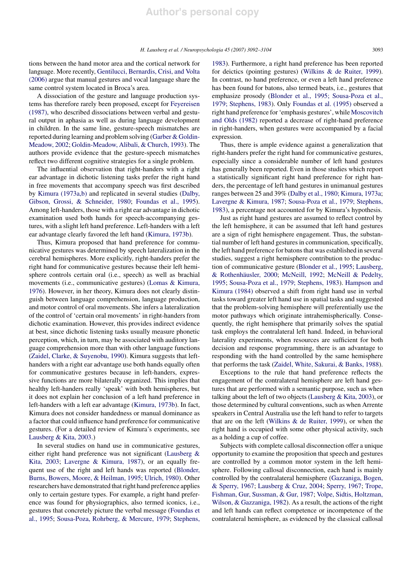tions between the hand motor area and the cortical network for language. More recently, Gentilucci, Bernardis, Crisi, and Volta (2006) argue that manual gestures and vocal language share the same control system located in Broca's area.

A dissociation of the gesture and language production systems has therefore rarely been proposed, except for Feyereisen (1987), who described dissociations between verbal and gestural output in aphasia as well as during language development in children. In the same line, gesture-speech mismatches are reported during learning and problem solving (Garber & Goldin-Meadow, 2002; Goldin-Meadow, Alibali, & Church, 1993). The authors provide evidence that the gesture-speech mismatches reflect two different cognitive strategies for a single problem.

The influential observation that right-handers with a right ear advantage in dichotic listening tasks prefer the right hand in free movements that accompany speech was first described by Kimura (1973a,b) and replicated in several studies (Dalby, Gibson, Grossi, & Schneider, 1980; Foundas et al., 1995). Among left-handers, those with a right ear advantage in dichotic examination used both hands for speech-accompanying gestures, with a slight left hand preference. Left-handers with a left ear advantage clearly favored the left hand (Kimura, 1973b).

Thus, Kimura proposed that hand preference for communicative gestures was determined by speech lateralization in the cerebral hemispheres. More explicitly, right-handers prefer the right hand for communicative gestures because their left hemisphere controls certain oral (i.e., speech) as well as brachial movements (i.e., communicative gestures) (Lomas & Kimura, 1976). However, in her theory, Kimura does not clearly distinguish between language comprehension, language production, and motor control of oral movements. She infers a lateralization of the control of 'certain oral movements' in right-handers from dichotic examination. However, this provides indirect evidence at best, since dichotic listening tasks usually measure phonetic perception, which, in turn, may be associated with auditory language comprehension more than with other language functions (Zaidel, Clarke, & Suyenobu, 1990). Kimura suggests that lefthanders with a right ear advantage use both hands equally often for communicative gestures because in left-handers, expressive functions are more bilaterally organized. This implies that healthy left-handers really 'speak' with both hemispheres, but it does not explain her conclusion of a left hand preference in left-handers with a left ear advantage (Kimura, 1973b). In fact, Kimura does not consider handedness or manual dominance as a factor that could influence hand preference for communicative gestures. (For a detailed review of Kimura's experiments, see Lausberg & Kita, 2003.)

In several studies on hand use in communicative gestures, either right hand preference was not significant (Lausberg & Kita, 2003; Lavergne & Kimura, 1987), or an equally frequent use of the right and left hands was reported (Blonder, Burns, Bowers, Moore, & Heilman, 1995; Ulrich, 1980). Other researchers have demonstrated that right hand preference applies only to certain gesture types. For example, a right hand preference was found for physiographics, also termed iconics, i.e., gestures that concretely picture the verbal message (Foundas et al., 1995; Sousa-Poza, Rohrberg, & Mercure, 1979; Stephens, 1983). Furthermore, a right hand preference has been reported for deictics (pointing gestures) (Wilkins & de Ruiter, 1999). In contrast, no hand preference, or even a left hand preference has been found for batons, also termed beats, i.e., gestures that emphasize prosody (Blonder et al., 1995; Sousa-Poza et al., 1979; Stephens, 1983). Only Foundas et al. (1995) observed a right hand preference for 'emphasis gestures', while Moscovitch and Olds (1982) reported a decrease of right-hand preference in right-handers, when gestures were accompanied by a facial expression.

Thus, there is ample evidence against a generalization that right-handers prefer the right hand for communicative gestures, especially since a considerable number of left hand gestures has generally been reported. Even in those studies which report a statistically significant right hand preference for right handers, the percentage of left hand gestures in unimanual gestures ranges between 25 and 39% (Dalby et al., 1980; Kimura, 1973a; Lavergne & Kimura, 1987; Sousa-Poza et al., 1979; Stephens, 1983), a percentage not accounted for by Kimura's hypothesis.

Just as right hand gestures are assumed to reflect control by the left hemisphere, it can be assumed that left hand gestures are a sign of right hemisphere engagement. Thus, the substantial number of left hand gestures in communication, specifically, the left hand preference for batons that was established in several studies, suggest a right hemisphere contribution to the production of communicative gesture (Blonder et al., 1995; Lausberg, & Rothenhäusler, 2000; McNeill, 1992; McNeill & Pedelty, 1995; Sousa-Poza et al., 1979; Stephens, 1983). Hampson and Kimura (1984) observed a shift from right hand use in verbal tasks toward greater left hand use in spatial tasks and suggested that the problem-solving hemisphere will preferentially use the motor pathways which originate intrahemispherically. Consequently, the right hemisphere that primarily solves the spatial task employs the contralateral left hand. Indeed, in behavioral laterality experiments, when resources are sufficient for both decision and response programming, there is an advantage to responding with the hand controlled by the same hemisphere that performs the task (Zaidel, White, Sakurai, & Banks, 1988).

Exceptions to the rule that hand preference reflects the engagement of the contralateral hemisphere are left hand gestures that are performed with a semantic purpose, such as when talking about the left of two objects (Lausberg & Kita, 2003), or those determined by cultural conventions, such as when Arrente speakers in Central Australia use the left hand to refer to targets that are on the left (Wilkins & de Ruiter, 1999), or when the right hand is occupied with some other physical activity, such as a holding a cup of coffee.

Subjects with complete callosal disconnection offer a unique opportunity to examine the proposition that speech and gestures are controlled by a common motor system in the left hemisphere. Following callosal disconnection, each hand is mainly controlled by the contralateral hemisphere (Gazzaniga, Bogen, & Sperry, 1967; Lausberg & Cruz, 2004; Sperry, 1967; Trope, Fishman, Gur, Sussman, & Gur, 1987; Volpe, Sidtis, Holtzman, Wilson, & Gazzaniga, 1982). As a result, the actions of the right and left hands can reflect competence or incompetence of the contralateral hemisphere, as evidenced by the classical callosal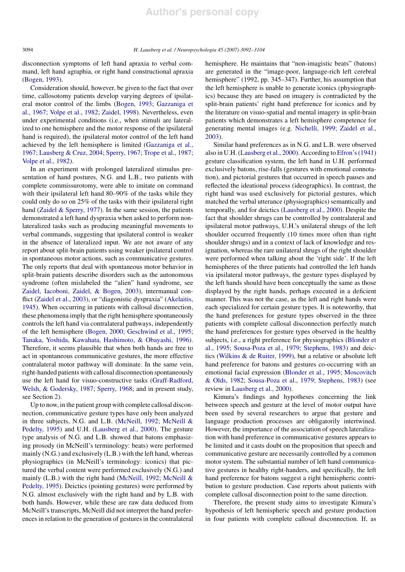disconnection symptoms of left hand apraxia to verbal command, left hand agraphia, or right hand constructional apraxia (Bogen, 1993).

Consideration should, however, be given to the fact that over time, callosotomy patients develop varying degrees of ipsilateral motor control of the limbs (Bogen, 1993; Gazzaniga et al., 1967; Volpe et al., 1982; Zaidel, 1998). Nevertheless, even under experimental conditions (i.e., when stimuli are lateralized to one hemisphere and the motor response of the ipsilateral hand is required), the ipsilateral motor control of the left hand achieved by the left hemisphere is limited (Gazzaniga et al., 1967; Lausberg & Cruz, 2004; Sperry, 1967; Trope et al., 1987; Volpe et al., 1982).

In an experiment with prolonged lateralized stimulus presentation of hand postures, N.G. and L.B., two patients with complete commissurotomy, were able to imitate on command with their ipsilateral left hand 80–90% of the tasks while they could only do so on 25% of the tasks with their ipsilateral right hand (Zaidel & Sperry, 1977). In the same session, the patients demonstrated a left hand dyspraxia when asked to perform nonlateralized tasks such as producing meaningful movements to verbal commands, suggesting that ipsilateral control is weaker in the absence of lateralized input. We are not aware of any report about split-brain patients using weaker ipsilateral control in spontaneous motor actions, such as communicative gestures. The only reports that deal with spontaneous motor behavior in split-brain patients describe disorders such as the autonomous syndrome (often mislabeled the "alien" hand syndrome, see Zaidel, Iacoboni, Zaidel, & Bogen, 2003), intermanual conflict (Zaidel et al., 2003), or "diagonistic dyspraxia" (Akelaitis, 1945). When occurring in patients with callosal disconnection, these phenomena imply that the right hemisphere spontaneously controls the left hand via contralateral pathways, independently of the left hemisphere (Bogen, 2000; Geschwind et al., 1995; Tanaka, Yoshida, Kawahata, Hashimoto, & Obayashi, 1996). Therefore, it seems plausible that when both hands are free to act in spontaneous communicative gestures, the more effective contralateral motor pathway will dominate. In the same vein, right-handed patients with callosal disconnection spontaneously use the left hand for visuo-constructive tasks (Graff-Radford, Welsh, & Godersky, 1987; Sperry, 1968; and in present study, see Section 2).

Up to now, in the patient group with complete callosal disconnection, communicative gesture types have only been analyzed in three subjects, N.G. and L.B. (McNeill, 1992; McNeill & Pedelty, 1995) and U.H. (Lausberg et al., 2000). The gesture type analysis of N.G. and L.B. showed that batons emphasizing prosody (in McNeill's terminology: beats) were performed mainly (N.G.) and exclusively (L.B.) with the left hand, whereas physiographics (in McNeill's terminology: iconics) that pictured the verbal content were performed exclusively (N.G.) and mainly (L.B.) with the right hand (McNeill, 1992; McNeill & Pedelty, 1995). Deictics (pointing gestures) were performed by N.G. almost exclusively with the right hand and by L.B. with both hands. However, while these are raw data deduced from McNeill's transcripts, McNeill did not interpret the hand preferences in relation to the generation of gestures in the contralateral hemisphere. He maintains that "non-imagistic beats" (batons) are generated in the "image-poor, language-rich left cerebral hemisphere" (1992, pp. 345–347). Further, his assumption that the left hemisphere is unable to generate iconics (physiographics) because they are based on imagery is contradicted by the split-brain patients' right hand preference for iconics and by the literature on visuo-spatial and mental imagery in split-brain patients which demonstrates a left hemisphere competence for generating mental images (e.g. Nichelli, 1999; Zaidel et al., 2003).

Similar hand preferences as in N.G. and L.B. were observed also in U.H. (Lausberg et al., 2000). According to Efron's (1941) gesture classification system, the left hand in U.H. performed exclusively batons, rise-falls (gestures with emotional connotation), and pictorial gestures that occurred in speech pauses and reflected the ideational process (ideographics). In contrast, the right hand was used exclusively for pictorial gestures, which matched the verbal utterance (physiographics) semantically and temporally, and for deictics (Lausberg et al., 2000). Despite the fact that shoulder shrugs can be controlled by contralateral and ipsilateral motor pathways, U.H.'s unilateral shrugs of the left shoulder occurred frequently (10 times more often than right shoulder shrugs) and in a context of lack of knowledge and resignation, whereas the rare unilateral shrugs of the right shoulder were performed when talking about the 'right side'. If the left hemispheres of the three patients had controlled the left hands via ipsilateral motor pathways, the gesture types displayed by the left hands should have been conceptually the same as those displayed by the right hands, perhaps executed in a deficient manner. This was not the case, as the left and right hands were each specialized for certain gesture types. It is noteworthy, that the hand preferences for gesture types observed in the three patients with complete callosal disconnection perfectly match the hand preferences for gesture types observed in the healthy subjects, i.e., a right preference for physiographics (Blonder et al., 1995; Sousa-Poza et al., 1979; Stephens, 1983) and deictics (Wilkins & de Ruiter, 1999), but a relative or absolute left hand preference for batons and gestures co-occurring with an emotional facial expression (Blonder et al., 1995; Moscovitch & Olds, 1982; Sousa-Poza et al., 1979; Stephens, 1983) (see review in Lausberg et al., 2000).

Kimura's findings and hypotheses concerning the link between speech and gesture at the level of motor output have been used by several researchers to argue that gesture and language production processes are obligatorily intertwined. However, the importance of the association of speech lateralization with hand preference in communicative gestures appears to be limited and it casts doubt on the proposition that speech and communicative gesture are necessarily controlled by a common motor system. The substantial number of left hand communicative gestures in healthy right-handers, and specifically, the left hand preference for batons suggest a right hemispheric contribution to gesture production. Case reports about patients with complete callosal disconnection point to the same direction.

Therefore, the present study aims to investigate Kimura's hypothesis of left hemispheric speech and gesture production in four patients with complete callosal disconnection. If, as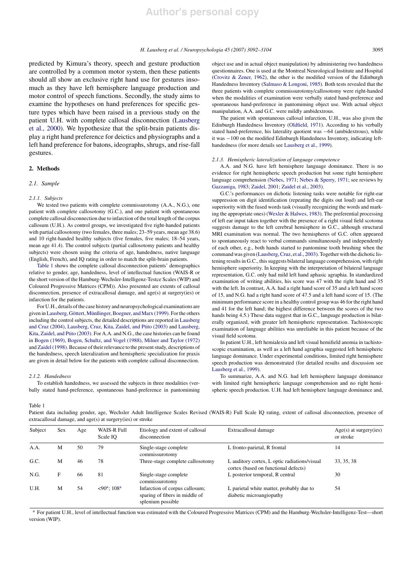predicted by Kimura's theory, speech and gesture production are controlled by a common motor system, then these patients should all show an exclusive right hand use for gestures insomuch as they have left hemisphere language production and motor control of speech functions. Secondly, the study aims to examine the hypotheses on hand preferences for specific gesture types which have been raised in a previous study on the patient U.H. with complete callosal disconnection (Lausberg et al., 2000). We hypothesize that the split-brain patients display a right hand preference for deictics and physiographs and a left hand preference for batons, ideographs, shrugs, and rise-fall gestures.

# **2. Methods**

### *2.1. Sample*

#### *2.1.1. Subjects*

We tested two patients with complete commissurotomy (A.A., N.G.), one patient with complete callosotomy (G.C.), and one patient with spontaneous complete callosal disconnection due to infarction of the total length of the corpus callosum (U.H.). As control groups, we investigated five right-handed patients with partial callosotomy (two females, three males; 23–59 years, mean age 38.6) and 10 right-handed healthy subjects (five females, five males; 18–54 years, mean age 41.4). The control subjects (partial callosotomy patients and healthy subjects) were chosen using the criteria of age, handedness, native language (English, French), and IQ rating in order to match the split-brain patients.

Table 1 shows the complete callosal disconnection patients' demographics relative to gender, age, handedness, level of intellectual function (WAIS-R or the short version of the Hamburg-Wechsler-Intelligenz-Testce Scales (WIP) and Coloured Progressive Matrices (CPM)). Also presented are extents of callosal disconnection, presence of extracallosal damage, and age(s) at surgery(ies) or infarction for the patients.

For U.H., details of the case history and neuropsychological examinations are given in Lausberg, Göttert, Münßinger, Boegner, and Marx (1999). For the others including the control subjects, the detailed descriptions are reported in Lausberg and Cruz (2004), Lausberg, Cruz, Kita, Zaidel, and Ptito (2003) and Lausberg, Kita, Zaidel, and Ptito (2003). For A.A. and N.G., the case histories can be found in Bogen (1969), Bogen, Schultz, and Vogel (1988), Milner and Taylor (1972) and Zaidel (1998). Because of their relevance to the present study, descriptions of the handedness, speech lateralization and hemispheric specialization for praxis are given in detail below for the patients with complete callosal disconnection.

#### *2.1.2. Handedness*

To establish handedness, we assessed the subjects in three modalities (verbally stated hand-preference, spontaneous hand-preference in pantomiming object use and in actual object manipulation) by administering two handedness questionnaires. One is used at the Montreal Neurological Institute and Hospital (Crovitz & Zener, 1962), the other is the modified version of the Edinburgh Handedness Inventory (Salmaso & Longoni, 1985). Both tests revealed that the three patients with complete commissurotomy/callosotomy were right-handed when the modalities of examination were verbally stated hand-preference and spontaneous hand-preference in pantomiming object use. With actual object manipulation, A.A. and G.C. were mildly ambidextrous.

The patient with spontaneous callosal infarction, U.H., was also given the Edinburgh Handedness Inventory (Oldfield, 1971). According to his verbally stated hand-preference, his laterality quotient was −64 (ambidextrous), while it was −100 on the modified Edinburgh Handedness Inventory, indicating lefthandedness (for more details see Lausberg et al., 1999).

#### *2.1.3. Hemispheric lateralization of language competence*

A.A. and N.G. have left hemisphere language dominance. There is no evidence for right hemispheric speech production but some right hemisphere language comprehension (Nebes, 1971; Nebes & Sperry, 1971; see reviews by Gazzaniga, 1983; Zaidel, 2001; Zaidel et al., 2003).

G.C.'s performances on dichotic listening tasks were notable for right-ear suppression on digit identification (repeating the digits out loud) and left-ear superiority with the fused words task (visually recognizing the words and marking the appropriate ones) (Wexler & Halwes, 1983). The preferential processing of left ear input taken together with the presence of a right visual field scotoma suggests damage to the left cerebral hemisphere in G.C., although structural MRI examination was normal. The two hemispheres of G.C. often appeared to spontaneously react to verbal commands simultaneously and independently of each other, e.g., both hands started to pantomime tooth brushing when the command was given (Lausberg, Cruz, et al., 2003). Together with the dichotic listening results in G.C., this suggests bilateral language comprehension, with right hemisphere superiority. In keeping with the interpretation of bilateral language representation, G.C. only had mild left hand aphasic agraphia. In standardized examination of writing abilities, his score was 47 with the right hand and 35 with the left. In contrast, A.A. had a right hand score of 35 and a left hand score of 15, and N.G. had a right hand score of 47.5 and a left hand score of 15. (The minimum performance score in a healthy control group was 46 for the right hand and 41 for the left hand; the highest difference between the scores of the two hands being 4.5.) These data suggest that in G.C., language production is bilaterally organized, with greater left hemispheric representation. Tachistoscopic examination of language abilities was unreliable in this patient because of the visual field scotoma.

In patient U.H., left hemialexia and left visual hemifield anomia in tachistoscopic examination, as well as a left hand agraphia suggested left hemispheric language dominance. Under experimental conditions, limited right hemisphere speech production was demonstrated (for detailed results and discussion see Lausberg et al., 1999).

To summarize, A.A. and N.G. had left hemisphere language dominance with limited right hemispheric language comprehension and no right hemispheric speech production. U.H. had left hemisphere language dominance and,

#### Table 1

Patient data including gender, age, Wechsler Adult Intelligence Scales Revised (WAIS-R) Full Scale IQ rating, extent of callosal disconnection, presence of extracallosal damage, and age(s) at surgery(ies) or stroke

| Subject | Sex | Age | WAIS-R Full<br>Scale IO        | Etiology and extent of callosal<br>disconnection                                      | Extracallosal damage                                                                 | $Age(s)$ at surgery(ies)<br>or stroke |
|---------|-----|-----|--------------------------------|---------------------------------------------------------------------------------------|--------------------------------------------------------------------------------------|---------------------------------------|
| A.A.    | M   | 50  | 79                             | Single-stage complete<br>commissurotomy                                               | L fronto-parietal, R frontal                                                         | 14                                    |
| G.C.    | M   | 46  | 78                             | Three-stage complete callosotomy                                                      | L auditory cortex, L optic radiations/visual<br>cortex (based on functional defects) | 33, 35, 38                            |
| N.G.    | F   | 66  | 81                             | Single-stage complete<br>commissurotomy                                               | L posterior temporal, R central                                                      | 30                                    |
| U.H.    | M   | 54  | $\leq 90^a$ : 108 <sup>a</sup> | Infarction of corpus callosum;<br>sparing of fibers in middle of<br>splenium possible | L parietal white matter, probably due to<br>diabetic microangiopathy                 | 54                                    |

<sup>a</sup> For patient U.H., level of intellectual function was estimated with the Coloured Progressive Matrices (CPM) and the Hamburg-Wechsler-Intelligenz-Test—short version (WIP).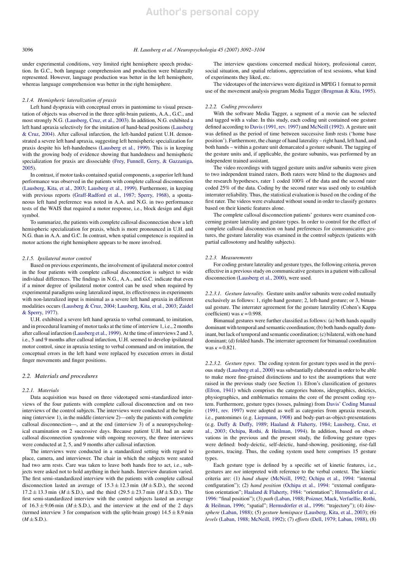under experimental conditions, very limited right hemisphere speech production. In G.C., both language comprehension and production were bilaterally represented. However, language production was better in the left hemisphere, whereas language comprehension was better in the right hemisphere.

#### *2.1.4. Hemispheric lateralization of praxis*

Left hand dyspraxia with conceptual errors in pantomime to visual presentation of objects was observed in the three split-brain patients, A.A., G.C., and most strongly N.G. (Lausberg, Cruz, et al., 2003). In addition, N.G. exhibited a left hand apraxia selectively for the imitation of hand-head positions (Lausberg & Cruz, 2004). After callosal infarction, the left-handed patient U.H. demonstrated a severe left hand apraxia, suggesting left hemispheric specialization for praxis despite his left-handedness (Lausberg et al., 1999). This is in keeping with the growing body of evidence showing that handedness and hemispheric specialization for praxis are dissociable (Frey, Funnell, Gerry, & Gazzaniga, 2005).

In contrast, if motor tasks contained spatial components, a superior left hand performance was observed in the patients with complete callosal disconnection (Lausberg, Kita, et al., 2003; Lausberg et al., 1999). Furthermore, in keeping with previous reports (Graff-Radford et al., 1987; Sperry, 1968), a spontaneous left hand preference was noted in A.A. and N.G. in two performance tests of the WAIS that required a motor response, i.e., block design and digit symbol.

To summarize, the patients with complete callosal disconnection show a left hemispheric specialization for praxis, which is more pronounced in U.H. and N.G. than in A.A. and G.C. In contrast, when spatial competence is required in motor actions the right hemisphere appears to be more involved.

#### *2.1.5. Ipsilateral motor control*

Based on previous experiments, the involvement of ipsilateral motor control in the four patients with complete callosal disconnection is subject to wide individual differences. The findings in N.G., A.A., and G.C. indicate that even if a minor degree of ipsilateral motor control can be used when required by experimental paradigms using lateralized input, its effectiveness in experiments with non-lateralized input is minimal as a severe left hand apraxia in different modalities occurs (Lausberg & Cruz, 2004; Lausberg, Kita, et al., 2003; Zaidel & Sperry, 1977).

U.H. exhibited a severe left hand apraxia to verbal command, to imitation, and in procedural learning of motor tasks at the time of interview 1, i.e., 2 months after callosal infarction (Lausberg et al., 1999). At the time of interviews 2 and 3, i.e., 5 and 9 months after callosal infarction, U.H. seemed to develop ipsilateral motor control, since in apraxia testing to verbal command and on imitation, the conceptual errors in the left hand were replaced by execution errors in distal finger movements and finger positions.

#### *2.2. Materials and procedures*

#### *2.2.1. Materials*

Data acquisition was based on three videotaped semi-standardized interviews of the four patients with complete callosal disconnection and on two interviews of the control subjects. The interviews were conducted at the beginning (interview 1), in the middle (interview 2)—only the patients with complete callosal disconnection—, and at the end (interview 3) of a neuropsychological examination on 2 successive days. Because patient U.H. had an acute callosal disconnection syndrome with ongoing recovery, the three interviews were conducted at 2, 5, and 9 months after callosal infarction.

The interviews were conducted in a standardized setting with regard to place, camera, and interviewer. The chair in which the subjects were seated had two arm rests. Care was taken to leave both hands free to act, i.e., subjects were asked not to hold anything in their hands. Interview duration varied. The first semi-standardized interview with the patients with complete callosal disconnection lasted an average of  $15.3 \pm 12.3$  min ( $M \pm$  S.D.), the second  $17.2 \pm 13.3 \text{ min } (M \pm S.D.)$ , and the third  $(29.5 \pm 23.7 \text{ min } (M \pm S.D.)$ . The first semi-standardized interview with the control subjects lasted an average of  $16.3 \pm 9.06$  min ( $M \pm$  S.D.), and the interview at the end of the 2 days (termed interview 3 for comparison with the split-brain group)  $14.5 \pm 8.9$  min  $(M \pm S.D.)$ .

The interview questions concerned medical history, professional career, social situation, and spatial relations, appreciation of test sessions, what kind of experiments they liked, etc.

The videotapes of the interviews were digitized in MPEG 1 format to permit use of the movement analysis program Media Tagger (Brugman & Kita, 1995).

#### *2.2.2. Coding procedures*

With the software Media Tagger, a segment of a movie can be selected and tagged with a value. In this study, each coding unit contained one gesture defined according to Davis (1991, rev. 1997) and McNeill (1992). A gesture unit was defined as the period of time between successive limb rests ('home base position'). Furthermore, the change of hand laterality – right hand, left hand, and both hands – within a gesture unit demarcated a gesture subunit. The tagging of the gesture units and, if applicable, the gesture subunits, was performed by an independent trained assistant.

The video recordings with tagged gesture units and/or subunits were given to two independent trained raters. Both raters were blind to the diagnoses and the research hypotheses, rater 1 coded 100% of the data and the second rater coded 25% of the data. Coding by the second rater was used only to establish interrater reliability. Thus, the statistical evaluation is based on the coding of the first rater. The videos were evaluated without sound in order to classify gestures based on their kinetic features alone.

The complete callosal disconnection patients' gestures were examined concerning gesture laterality and gesture types. In order to control for the effect of complete callosal disconnection on hand preferences for communicative gestures, the gesture laterality was examined in the control subjects (patients with partial callosotomy and healthy subjects).

#### *2.2.3. Measurements*

For coding gesture laterality and gesture types, the following criteria, proven effective in a previous study on communicative gestures in a patient with callosal disconnection (Lausberg et al., 2000), were used.

*2.2.3.1. Gesture laterality.* Gesture units and/or subunits were coded mutually exclusively as follows: 1, right-hand gesture; 2, left-hand gesture; or 3, bimanual gesture. The interrater agreement for the gesture laterality (Cohen's Kappa coefficient) was  $\kappa = 0.998$ .

Bimanual gestures were further classified as follows: (a) both hands equally dominant with temporal and semantic coordination; (b) both hands equally dominant, but lack of temporal and semantic coordination; (c) bilateral, with one hand dominant; (d) folded hands. The interrater agreement for bimanual coordination was  $k = 0.821$ .

*2.2.3.2. Gesture types.* The coding system for gesture types used in the previous study (Lausberg et al., 2000) was substantially elaborated in order to be able to make more fine-grained distinctions and to test the assumptions that were raised in the previous study (see Section 1). Efron's classification of gestures (Efron, 1941) which comprises the categories batons, ideographics, deictics, physiographics, and emblematics remains the core of the present coding system. Furthermore, gesture types (tosses, palming) from Davis' Coding Manual (1991, rev. 1997) were adopted as well as categories from apraxia research, i.e., pantomimes (e.g. Liepmann, 1908) and body-part-as-object-presentations (e.g. Duffy & Duffy, 1989; Haaland & Flaherty, 1984; Lausberg, Cruz, et al., 2003; Ochipa, Rothi, & Heilman, 1994). In addition, based on observations in the previous and the present study, the following gesture types were defined: body-deictic, self-deictic, hand-showing, positioning, rise-fall gestures, tracing. Thus, the coding system used here comprises 15 gesture types.

Each gesture type is defined by a specific set of kinetic features, i.e., gestures are *not* interpreted with reference to the verbal context. The kinetic criteria are: (1) *hand shape* (McNeill, 1992; Ochipa et al., 1994: "internal configuration"); (2) *hand position* (Ochipa et al., 1994: "external configuration orientation"; Haaland & Flaherty, 1984: "orientation"; Hermsdörfer et al., 1996: "final position"); (3) *path* (Laban, 1988; Poizner, Mack, Verfaellie, Rothi, & Heilman, 1996; "spatial"; Hermsdorfer et al., 1996 ¨ : "trajectory"); (4) *kinesphere* (Laban, 1988); (5) *gesture hemispace* (Lausberg, Kita, et al., 2003); (6) *levels* (Laban, 1988; McNeill, 1992); (7) *efforts* (Dell, 1979; Laban, 1988), (8)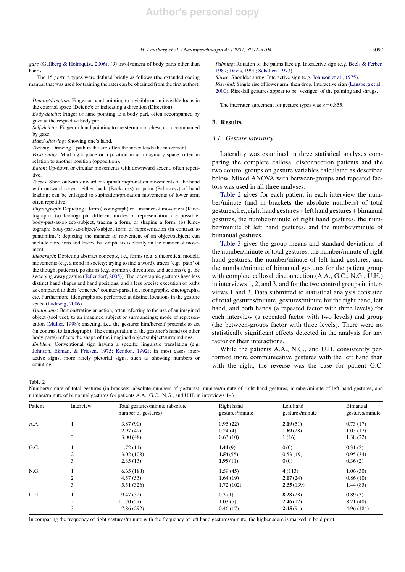*gaze* (Gullberg & Holmquist, 2006); (9) involvement of body parts other than hands.

The 15 gesture types were defined briefly as follows (the extended coding manual that was used for training the rater can be obtained from the first author):

*Deictic/direction*: Finger or hand pointing to a visible or an invisible locus in the external space (Deictic); or indicating a direction (Direction).

*Body-deictic*: Finger or hand pointing to a body part, often accompanied by gaze at the respective body part.

*Self-deictic*: Finger or hand pointing to the sternum or chest, not accompanied by gaze.

*Hand-showing*: Showing one's hand.

*Tracing*: Drawing a path in the air; often the index leads the movement.

*Positioning*: Marking a place or a position in an imaginary space; often in relation to another position (opposition).

*Baton*: Up-down or circular movements with downward accent, often repetitive.

*Tosses*: Short outward/inward or supination/pronation movements of the hand with outward accent; either back (Back-toss) or palm (Palm-toss) of hand leading; can be enlarged to supination/pronation movements of lower arm; often repetitive.

*Physiograph*: Depicting a form (Iconograph) or a manner of movement (Kinetograph). (a) Iconograph: different modes of representation are possible: body-part-as-object/-subject, tracing a form, or shaping a form. (b) Kinetograph: body-part-as-object/-subject form of representation (in contrast to pantomime); depicting the manner of movement of an object/subject; can include directions and traces, but emphasis is clearly on the manner of movement.

*Ideograph*: Depicting abstract concepts, i.e., forms (e.g. a theoretical model), movements (e.g. a trend in society; trying to find a word), traces (e.g. 'path' of the thought patterns), positions (e.g. opinion), directions, and actions (e.g. the sweeping away gesture (Teßendorf, 2005)). The ideographic gestures have less distinct hand shapes and hand positions, and a less precise execution of paths as compared to their 'concrete' counter-parts, i.e., iconographs, kinetographs, etc. Furthermore, ideographs are performed at distinct locations in the gesture space (Ladewig, 2006).

*Pantomime*: Demonstrating an action, often referring to the use of an imagined object (tool use), to an imagined subject or surroundings; mode of representation (Müller, 1998): enacting, i.e., the gesturer him/herself pretends to act (in contrast to kinetograph). The configuration of the gesturer's hand (or other body parts) reflects the shape of the imagined object/subject/surroundings.

*Emblem*: Conventional sign having a specific linguistic translation (e.g. Johnson, Ekman, & Friesen, 1975; Kendon, 1992); in most cases interactive signs, more rarely pictorial signs, such as showing numbers or counting.

*Palming*: Rotation of the palms face up. Interactive sign (e.g. Beels & Ferber, 1989; Davis, 1991; Scheflen, 1973).

*Shrug*: Shoulder shrug. Interactive sign (e.g. Johnson et al., 1975). *Rise-fall*: Single rise of lower arm, then drop. Interactive sign (Lausberg et al., 2000). Rise-fall gestures appear to be 'vestiges' of the palming and shrugs.

The interrater agreement for gesture types was  $\kappa = 0.855$ .

## **3. Results**

#### *3.1. Gesture laterality*

Laterality was examined in three statistical analyses comparing the complete callosal disconnection patients and the two control groups on gesture variables calculated as described below. Mixed ANOVA with between-groups and repeated factors was used in all three analyses.

Table 2 gives for each patient in each interview the number/minute (and in brackets the absolute numbers) of total gestures, i.e., right hand gestures + left hand gestures + bimanual gestures, the number/minute of right hand gestures, the number/minute of left hand gestures, and the number/minute of bimanual gestures.

Table 3 gives the group means and standard deviations of the number/minute of total gestures, the number/minute of right hand gestures, the number/minute of left hand gestures, and the number/minute of bimanual gestures for the patient group with complete callosal disconnection (A.A., G.C., N.G., U.H.) in interviews 1, 2, and 3, and for the two control groups in interviews 1 and 3. Data submitted to statistical analysis consisted of total gestures/minute, gestures/minute for the right hand, left hand, and both hands (a repeated factor with three levels) for each interview (a repeated factor with two levels) and group (the between-groups factor with three levels). There were no statistically significant effects detected in the analysis for any factor or their interactions.

While the patients A.A., N.G., and U.H. consistently performed more communicative gestures with the left hand than with the right, the reverse was the case for patient G.C.

#### Table 2

Number/minute of total gestures (in brackets: absolute numbers of gestures), number/minute of right hand gestures, number/minute of left hand gestures, and number/minute of bimanual gestures for patients A.A., G.C., N.G., and U.H. in interviews 1–3

| Patient | Interview      | Total gestures/minute (absolute)<br>number of gestures) | Right hand<br>gestures/minute | Left hand<br>gestures/minute | Bimanual<br>gestures/minute |
|---------|----------------|---------------------------------------------------------|-------------------------------|------------------------------|-----------------------------|
| A.A.    |                | 3.87(90)                                                | 0.95(22)                      | 2.19(51)                     | 0.73(17)                    |
|         | 2              | 2.97(49)                                                | 0.24(4)                       | 1.69(28)                     | 1.03(17)                    |
|         | 3              | 3.00(48)                                                | 0.63(10)                      | 1(16)                        | 1.38(22)                    |
| G.C.    |                | 1.72(11)                                                | 1.41(9)                       | 0(0)                         | 0.31(2)                     |
|         | $\overline{c}$ | 3.02(108)                                               | 1.54(55)                      | 0.53(19)                     | 0.95(34)                    |
|         | 3              | 2.35(13)                                                | 1.99(11)                      | 0(0)                         | 0.36(2)                     |
| N.G.    |                | 6.65(188)                                               | 1.59(45)                      | 4(113)                       | 1.06(30)                    |
|         | 2              | 4.57(53)                                                | 1.64(19)                      | 2.07(24)                     | 0.86(10)                    |
|         | 3              | 5.51 (326)                                              | 1.72(102)                     | 2.35(139)                    | 1.44(85)                    |
| U.H.    |                | 9.47(32)                                                | 0.3(1)                        | 8.28(28)                     | 0.89(3)                     |
|         | $\mathfrak{2}$ | 11.70(57)                                               | 1.03(5)                       | 2.46(12)                     | 8.21(40)                    |
|         | 3              | 7.86 (292)                                              | 0.46(17)                      | 2.45(91)                     | 4.96 (184)                  |

In comparing the frequency of right gestures/minute with the frequency of left hand gestures/minute, the higher score is marked in bold print.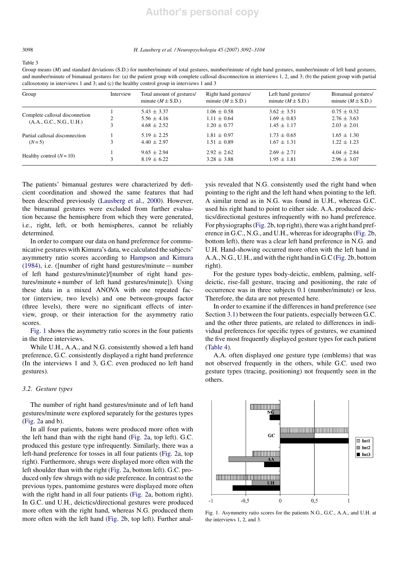#### 3098 *H. Lausberg et al. / Neuropsychologia 45 (2007) 3092–3104*

Table 3

Group means (*M*) and standard deviations (S.D.) for number/minute of total gestures, number/minute of right hand gestures, number/minute of left hand gestures, and number/minute of bimanual gestures for: (a) the patient group with complete callosal disconnection in interviews 1, 2, and 3; (b) the patient group with partial callosotomy in interviews 1 and 3; and (c) the healthy control group in interviews 1 and 3

| Group                                                      | Interview | Total amount of gestures/<br>minute $(M \pm S.D.)$    | Right hand gestures/<br>minute $(M \pm S.D.)$         | Left hand gestures/<br>minute $(M \pm S.D.)$          | Bimanual gestures/<br>minute $(M \pm S.D.)$           |
|------------------------------------------------------------|-----------|-------------------------------------------------------|-------------------------------------------------------|-------------------------------------------------------|-------------------------------------------------------|
| Complete callosal disconnetion<br>(A.A., G.C., N.G., U.H.) |           | $5.43 \pm 3.37$<br>$5.56 \pm 4.16$<br>$4.68 \pm 2.52$ | $1.06 \pm 0.58$<br>$1.11 \pm 0.64$<br>$1.20 \pm 0.77$ | $3.62 \pm 3.51$<br>$1.69 \pm 0.83$<br>$1.45 \pm 1.17$ | $0.75 \pm 0.32$<br>$2.76 \pm 3.63$<br>$2.03 \pm 2.01$ |
| Partial callosal disconnection<br>$(N=5)$                  |           | $5.19 \pm 2.25$<br>$4.40 \pm 2.97$                    | $1.81 \pm 0.97$<br>$1.51 \pm 0.89$                    | $1.73 \pm 0.65$<br>$1.67 \pm 1.31$                    | $1.65 \pm 1.30$<br>$1.22 \pm 1.23$                    |
| Healthy control $(N=10)$                                   |           | $9.65 \pm 2.94$<br>$8.19 \pm 6.22$                    | $2.92 \pm 2.62$<br>$3.28 \pm 3.88$                    | $2.69 \pm 2.71$<br>$1.95 \pm 1.81$                    | $4.04 \pm 2.84$<br>$2.96 \pm 3.07$                    |

The patients' bimanual gestures were characterized by deficient coordination and showed the same features that had been described previously (Lausberg et al., 2000). However, the bimanual gestures were excluded from further evaluation because the hemisphere from which they were generated, i.e., right, left, or both hemispheres, cannot be reliably determined.

In order to compare our data on hand preference for communicative gestures with Kimura's data, we calculated the subjects' asymmetry ratio scores according to Hampson and Kimura (1984), i.e. ([number of right hand gestures/minute − number of left hand gestures/minute]/[number of right hand gestures/minute + number of left hand gestures/minute]). Using these data in a mixed ANOVA with one repeated factor (interview, two levels) and one between-groups factor (three levels), there were no significant effects of interview, group, or their interaction for the asymmetry ratio scores.

Fig. 1 shows the asymmetry ratio scores in the four patients in the three interviews.

While U.H., A.A., and N.G. consistently showed a left hand preference, G.C. consistently displayed a right hand preference (In the interviews 1 and 3, G.C. even produced no left hand gestures).

#### *3.2. Gesture types*

The number of right hand gestures/minute and of left hand gestures/minute were explored separately for the gestures types (Fig. 2a and b).

In all four patients, batons were produced more often with the left hand than with the right hand (Fig. 2a, top left). G.C. produced this gesture type infrequently. Similarly, there was a left-hand preference for tosses in all four patients (Fig. 2a, top right). Furthermore, shrugs were displayed more often with the left shoulder than with the right (Fig. 2a, bottom left). G.C. produced only few shrugs with no side preference. In contrast to the previous types, pantomime gestures were displayed more often with the right hand in all four patients (Fig. 2a, bottom right). In G.C. und U.H., deictics/directional gestures were produced more often with the right hand, whereas N.G. produced them more often with the left hand (Fig. 2b, top left). Further analysis revealed that N.G. consistently used the right hand when pointing to the right and the left hand when pointing to the left. A similar trend as in N.G. was found in U.H., whereas G.C. used his right hand to point to either side. A.A. produced deictics/directional gestures infrequently with no hand preference. For physiographs (Fig. 2b, top right), there was a right hand preference in G.C., N.G., and U.H., whereas for ideographs (Fig. 2b, bottom left), there was a clear left hand preference in N.G. and U.H. Hand-showing occurred more often with the left hand in A.A., N.G., U.H., and with the right hand in G.C (Fig. 2b, bottom right).

For the gesture types body-deictic, emblem, palming, selfdeictic, rise-fall gesture, tracing and positioning, the rate of occurrence was in three subjects 0.1 (number/minute) or less. Therefore, the data are not presented here.

In order to examine if the differences in hand preference (see Section 3.1) between the four patients, especially between G.C. and the other three patients, are related to differences in individual preferences for specific types of gestures, we examined the five most frequently displayed gesture types for each patient (Table 4).

A.A. often displayed one gesture type (emblems) that was not observed frequently in the others, while G.C. used two gesture types (tracing, positioning) not frequently seen in the others.



Fig. 1. Asymmetry ratio scores for the patients N.G., G.C., A.A., and U.H. at the interviews 1, 2, and 3.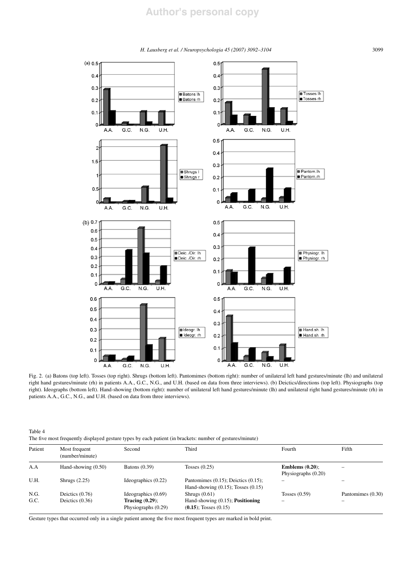

*H. Lausberg et al. / Neuropsychologia 45 (2007) 3092–3104* 3099

 $0.5$ 

 $(a) 0.5$ 

Fig. 2. (a) Batons (top left). Tosses (top right). Shrugs (bottom left). Pantomimes (bottom right): number of unilateral left hand gestures/minute (lh) and unilateral right hand gestures/minute (rh) in patients A.A., G.C., N.G., and U.H. (based on data from three interviews). (b) Deictics/directions (top left). Physiographs (top right). Ideographs (bottom left). Hand-showing (bottom right): number of unilateral left hand gestures/minute (lh) and unilateral right hand gestures/minute (rh) in patients A.A., G.C., N.G., and U.H. (based on data from three interviews).

| Table 4                                                                                                   |
|-----------------------------------------------------------------------------------------------------------|
| The five most frequently displayed gesture types by each patient (in brackets: number of gestures/minute) |

| Patient      | Most frequent<br>(number/minute)       | Second                                                             | Third                                                                                | Fourth                                    | Fifth             |
|--------------|----------------------------------------|--------------------------------------------------------------------|--------------------------------------------------------------------------------------|-------------------------------------------|-------------------|
| A.A          | Hand-showing $(0.50)$                  | <b>Batons</b> (0.39)                                               | Tosses $(0.25)$                                                                      | Emblems $(0.20)$ ;<br>Physiographs (0.20) |                   |
| U.H.         | Shrugs $(2.25)$                        | Ideographics $(0.22)$                                              | Pantomimes $(0.15)$ ; Deictics $(0.15)$ ;<br>Hand-showing $(0.15)$ ; Tosses $(0.15)$ |                                           |                   |
| N.G.<br>G.C. | Deictics $(0.76)$<br>Deictics $(0.36)$ | Ideographics $(0.69)$<br>Tracing $(0.29)$ :<br>Physiographs (0.29) | Shrugs $(0.61)$<br>Hand-showing $(0.15)$ ; Positioning<br>$(0.15)$ ; Tosses $(0.15)$ | Tosses $(0.59)$                           | Pantomimes (0.30) |

Gesture types that occurred only in a single patient among the five most frequent types are marked in bold print.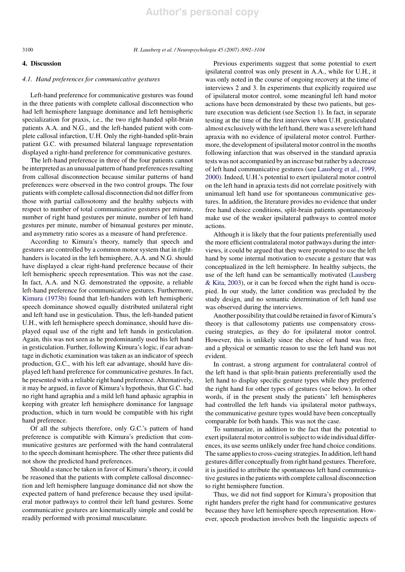3100 *H. Lausberg et al. / Neuropsychologia 45 (2007) 3092–3104*

# **4. Discussion**

# *4.1. Hand preferences for communicative gestures*

Left-hand preference for communicative gestures was found in the three patients with complete callosal disconnection who had left hemisphere language dominance and left hemispheric specialization for praxis, i.e., the two right-handed split-brain patients A.A. and N.G., and the left-handed patient with complete callosal infarction, U.H. Only the right-handed split-brain patient G.C. with presumed bilateral language representation displayed a right-hand preference for communicative gestures.

The left-hand preference in three of the four patients cannot be interpreted as an unusual pattern of hand preferences resulting from callosal disconnection because similar patterns of hand preferences were observed in the two control groups. The four patients with complete callosal disconnection did not differ from those with partial callosotomy and the healthy subjects with respect to number of total communicative gestures per minute, number of right hand gestures per minute, number of left hand gestures per minute, number of bimanual gestures per minute, and asymmetry ratio scores as a measure of hand preference.

According to Kimura's theory, namely that speech and gestures are controlled by a common motor system that in righthanders is located in the left hemisphere, A.A. and N.G. should have displayed a clear right-hand preference because of their left hemispheric speech representation. This was not the case. In fact, A.A. and N.G. demonstrated the opposite, a reliable left-hand preference for communicative gestures. Furthermore, Kimura (1973b) found that left-handers with left hemispheric speech dominance showed equally distributed unilateral right and left hand use in gesticulation. Thus, the left-handed patient U.H., with left hemisphere speech dominance, should have displayed equal use of the right and left hands in gesticulation. Again, this was not seen as he predominantly used his left hand in gesticulation. Further, following Kimura's logic, if ear advantage in dichotic examination was taken as an indicator of speech production, G.C., with his left ear advantage, should have displayed left hand preference for communicative gestures. In fact, he presented with a reliable right hand preference. Alternatively, it may be argued, in favor of Kimura's hypothesis, that G.C. had no right hand agraphia and a mild left hand aphasic agraphia in keeping with greater left hemisphere dominance for language production, which in turn would be compatible with his right hand preference.

Of all the subjects therefore, only G.C.'s pattern of hand preference is compatible with Kimura's prediction that communicative gestures are performed with the hand contralateral to the speech dominant hemisphere. The other three patients did not show the predicted hand preferences.

Should a stance be taken in favor of Kimura's theory, it could be reasoned that the patients with complete callosal disconnection and left hemisphere language dominance did not show the expected pattern of hand preference because they used ipsilateral motor pathways to control their left hand gestures. Some communicative gestures are kinematically simple and could be readily performed with proximal musculature.

Previous experiments suggest that some potential to exert ipsilateral control was only present in A.A., while for U.H., it was only noted in the course of ongoing recovery at the time of interviews 2 and 3. In experiments that explicitly required use of ipsilateral motor control, some meaningful left hand motor actions have been demonstrated by these two patients, but gesture execution was deficient (see Section 1). In fact, in separate testing at the time of the first interview when U.H. gesticulated almost exclusively with the left hand, there was a severe left hand apraxia with no evidence of ipsilateral motor control. Furthermore, the development of ipsilateral motor control in the months following infarction that was observed in the standard apraxia tests was not accompanied by an increase but rather by a decrease of left hand communicative gestures (see Lausberg et al., 1999, 2000). Indeed, U.H.'s potential to exert ipsilateral motor control on the left hand in apraxia tests did not correlate positively with unimanual left hand use for spontaneous communicative gestures. In addition, the literature provides no evidence that under free hand choice conditions, split-brain patients spontaneously make use of the weaker ipsilateral pathways to control motor actions.

Although it is likely that the four patients preferentially used the more efficient contralateral motor pathways during the interviews, it could be argued that they were prompted to use the left hand by some internal motivation to execute a gesture that was conceptualized in the left hemisphere. In healthy subjects, the use of the left hand can be semantically motivated (Lausberg & Kita, 2003), or it can be forced when the right hand is occupied. In our study, the latter condition was precluded by the study design, and no semantic determination of left hand use was observed during the interviews.

Another possibility that could be retained in favor of Kimura's theory is that callosotomy patients use compensatory crosscueing strategies, as they do for ipsilateral motor control. However, this is unlikely since the choice of hand was free, and a physical or semantic reason to use the left hand was not evident.

In contrast, a strong argument for contralateral control of the left hand is that split-brain patients preferentially used the left hand to display specific gesture types while they preferred the right hand for other types of gestures (see below). In other words, if in the present study the patients' left hemispheres had controlled the left hands via ipsilateral motor pathways, the communicative gesture types would have been conceptually comparable for both hands. This was not the case.

To summarize, in addition to the fact that the potential to exert ipsilateral motor control is subject to wide individual differences, its use seems unlikely under free hand choice conditions. The same applies to cross-cueing strategies. In addition, left hand gestures differ conceptually from right hand gestures. Therefore, it is justified to attribute the spontaneous left hand communicative gestures in the patients with complete callosal disconnection to right hemisphere function.

Thus, we did not find support for Kimura's proposition that right handers prefer the right hand for communicative gestures because they have left hemisphere speech representation. However, speech production involves both the linguistic aspects of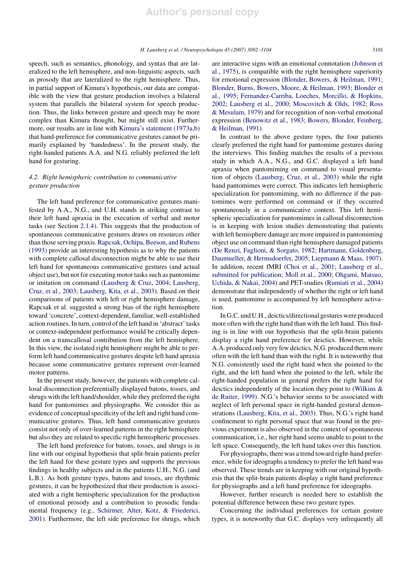speech, such as semantics, phonology, and syntax that are lateralized to the left hemisphere, and non-linguistic aspects, such as prosody that are lateralized to the right hemisphere. Thus, in partial support of Kimura's hypothesis, our data are compatible with the view that gesture production involves a bilateral system that parallels the bilateral system for speech production. Thus, the links between gesture and speech may be more complex than Kimura thought, but might still exist. Furthermore, our results are in line with Kimura's statement (1973a,b) that hand-preference for communicative gestures cannot be primarily explained by 'handedness'. In the present study, the right-handed patients A.A. and N.G. reliably preferred the left hand for gesturing.

# *4.2. Right hemispheric contribution to communicative gesture production*

The left hand preference for communicative gestures manifested by A.A., N.G., and U.H. stands in striking contrast to their left hand apraxia in the execution of verbal and motor tasks (see Section 2.1.4). This suggests that the production of spontaneous communicative gestures draws on resources other than those serving praxis.Rapcsak, Ochipa, Beeson, and Rubens (1993) provide an interesting hypothesis as to why the patients with complete callosal disconnection might be able to use their left hand for spontaneous communicative gestures (and actual object use), but not for executing motor tasks such as pantomime or imitation on command (Lausberg & Cruz, 2004; Lausberg, Cruz, et al., 2003; Lausberg, Kita, et al., 2003). Based on their comparisons of patients with left or right hemisphere damage, Rapcsak et al. suggested a strong bias of the right hemisphere toward 'concrete', context-dependent, familiar, well-established action routines. In turn, control of the left hand in 'abstract' tasks or context-independent performance would be critically dependent on a transcallosal contribution from the left hemisphere. In this view, the isolated right hemisphere might be able to perform left hand communicative gestures despite left hand apraxia because some communicative gestures represent over-learned motor patterns.

In the present study, however, the patients with complete callosal disconnection preferentially displayed batons, tosses, and shrugs with the left hand/shoulder, while they preferred the right hand for pantomimes and physiographs. We consider this as evidence of conceptual specificity of the left and right hand communicative gestures. Thus, left hand communicative gestures consist not only of over-learned patterns in the right hemisphere but also they are related to specific right hemispheric processes.

The left hand preference for batons, tosses, and shrugs is in line with our original hypothesis that split-brain patients prefer the left hand for these gesture types and supports the previous findings in healthy subjects and in the patients U.H., N.G. (and L.B.). As both gesture types, batons and tosses, are rhythmic gestures, it can be hypothesized that their production is associated with a right hemispheric specialization for the production of emotional prosody and a contribution to prosodic fundamental frequency (e.g., Schirmer, Alter, Kotz, & Friederici, 2001). Furthermore, the left side preference for shrugs, which are interactive signs with an emotional connotation (Johnson et al., 1975), is compatible with the right hemisphere superiority for emotional expression (Blonder, Bowers, & Heilman, 1991; Blonder, Burns, Bowers, Moore, & Heilman, 1993; Blonder et al., 1995; Fernandez-Carriba, Loeches, Morcillo, & Hopkins, 2002; Lausberg et al., 2000; Moscovitch & Olds, 1982; Ross & Mesulam, 1979) and for recognition of non-verbal emotional expression (Benowitz et al., 1983; Bowers, Blonder, Feinberg, & Heilman, 1991).

In contrast to the above gesture types, the four patients clearly preferred the right hand for pantomime gestures during the interviews. This finding matches the results of a previous study in which A.A., N.G., and G.C. displayed a left hand apraxia when pantomiming on command to visual presentation of objects (Lausberg, Cruz, et al., 2003) while the right hand pantomimes were correct. This indicates left hemispheric specialization for pantomiming, with no difference if the pantomimes were performed on command or if they occurred spontaneously in a communicative context. This left hemispheric specialization for pantomimes in callosal disconnection is in keeping with lesion studies demonstrating that patients with left hemisphere damage are more impaired in pantomiming object use on command than right hemisphere damaged patients (De Renzi, Faglioni, & Sorgato, 1982; Hartmann, Goldenberg, Daumueller, & Hermsdoerfer, 2005; Liepmann & Maas, 1907). In addition, recent fMRI (Choi et al., 2001; Lausberg et al., submitted for publication; Moll et al., 2000; Ohgami, Matsuo, Uchida, & Nakai, 2004) and PET-studies (Rumiati et al., 2004) demonstrate that independently of whether the right or left hand is used, pantomime is accompanied by left hemisphere activation.

In G.C. und U.H., deictics/directional gestures were produced more often with the right hand than with the left hand. This finding is in line with our hypothesis that the split-brain patients display a right hand preference for deictics. However, while A.A. produced only very few deictics, N.G. produced them more often with the left hand than with the right. It is noteworthy that N.G. consistently used the right hand when she pointed to the right, and the left hand when she pointed to the left, while the right-handed population in general prefers the right hand for deictics independently of the location they point to (Wilkins & de Ruiter, 1999). N.G.'s behavior seems to be associated with neglect of left personal space in right-handed gestural demonstrations (Lausberg, Kita, et al., 2003). Thus, N.G.'s right hand confinement to right personal space that was found in the previous experiment is also observed in the context of spontaneous communication, i.e., her right hand seems unable to point to the left space. Consequently, the left hand takes over this function.

For physiographs, there was a trend toward right-hand preference, while for ideographs a tendency to prefer the left hand was observed. These trends are in keeping with our original hypothesis that the split-brain patients display a right hand preference for physiographs and a left hand preference for ideographs.

However, further research is needed here to establish the potential difference between these two gesture types.

Concerning the individual preferences for certain gesture types, it is noteworthy that G.C. displays very infrequently all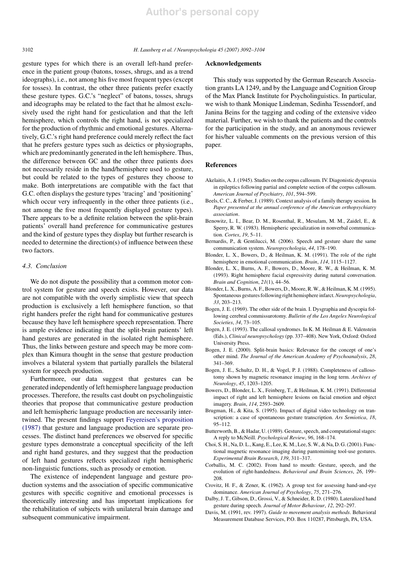3102 *H. Lausberg et al. / Neuropsychologia 45 (2007) 3092–3104*

gesture types for which there is an overall left-hand preference in the patient group (batons, tosses, shrugs, and as a trend ideographs), i.e., not among his five most frequent types (except for tosses). In contrast, the other three patients prefer exactly these gesture types. G.C.'s "neglect" of batons, tosses, shrugs and ideographs may be related to the fact that he almost exclusively used the right hand for gesticulation and that the left hemisphere, which controls the right hand, is not specialized for the production of rhythmic and emotional gestures. Alternatively, G.C.'s right hand preference could merely reflect the fact that he prefers gesture types such as deictics or physiographs, which are predominantly generated in the left hemisphere. Thus, the difference between GC and the other three patients does not necessarily reside in the hand/hemisphere used to gesture, but could be related to the types of gestures they choose to make. Both interpretations are compatible with the fact that G.C. often displays the gesture types 'tracing' and 'positioning' which occur very infrequently in the other three patients (i.e., not among the five most frequently displayed gesture types). There appears to be a definite relation between the split-brain patients' overall hand preference for communicative gestures and the kind of gesture types they display but further research is needed to determine the direction(s) of influence between these two factors.

### *4.3. Conclusion*

We do not dispute the possibility that a common motor control system for gesture and speech exists. However, our data are not compatible with the overly simplistic view that speech production is exclusively a left hemisphere function, so that right handers prefer the right hand for communicative gestures because they have left hemisphere speech representation. There is ample evidence indicating that the split-brain patients' left hand gestures are generated in the isolated right hemisphere. Thus, the links between gesture and speech may be more complex than Kimura thought in the sense that gesture production involves a bilateral system that partially parallels the bilateral system for speech production.

Furthermore, our data suggest that gestures can be generated independently of left hemisphere language production processes. Therefore, the results cast doubt on psycholinguistic theories that propose that communicative gesture production and left hemispheric language production are necessarily intertwined. The present findings support Feyereisen's proposition (1987) that gesture and language production are separate processes. The distinct hand preferences we observed for specific gesture types demonstrate a conceptual specificity of the left and right hand gestures, and they suggest that the production of left hand gestures reflects specialized right hemispheric non-linguistic functions, such as prosody or emotion.

The existence of independent language and gesture production systems and the association of specific communicative gestures with specific cognitive and emotional processes is theoretically interesting and has important implications for the rehabilitation of subjects with unilateral brain damage and subsequent communicative impairment.

#### **Acknowledgements**

This study was supported by the German Research Association grants LA 1249, and by the Language and Cognition Group of the Max Planck Institute for Psycholinguistics. In particular, we wish to thank Monique Lindeman, Sedinha Tessendorf, and Janina Beins for the tagging and coding of the extensive video material. Further, we wish to thank the patients and the controls for the participation in the study, and an anonymous reviewer for his/her valuable comments on the previous version of this paper.

#### **References**

- Akelaitis, A. J. (1945). Studies on the corpus callosum. IV. Diagonistic dyspraxia in epileptics following partial and complete section of the corpus callosum. *American Journal of Psychiatry*, *101*, 594–599.
- Beels, C. C., & Ferber, J. (1989). Context analysis of a family therapy session. In *Paper presented at the annual conference of the American orthopsychiatry association*.
- Benowitz, L. I., Bear, D. M., Rosenthal, R., Mesulam, M. M., Zaidel, E., & Sperry, R. W. (1983). Hemispheric specialization in nonverbal communication. *Cortex*, *19*, 5–11.
- Bernardis, P., & Gentilucci, M. (2006). Speech and gesture share the same communication system. *Neuropsychologia*, *44*, 178–190.
- Blonder, L. X., Bowers, D., & Heilman, K. M. (1991). The role of the right hemisphere in emotional communication. *Brain*, *114*, 1115–1127.
- Blonder, L. X., Burns, A. F., Bowers, D., Moore, R. W., & Heilman, K. M. (1993). Right hemisphere facial expressivity during natural conversation. *Brain and Cognition*, *21*(1), 44–56.
- Blonder, L. X., Burns, A. F., Bowers, D.,Moore, R.W., & Heilman, K.M. (1995). Spontaneous gestures following right hemisphere infarct.*Neuropsychologia*, *33*, 203–213.
- Bogen, J. E. (1969). The other side of the brain. I. Dysgraphia and dyscopia following cerebral commissurotomy. *Bulletin of the Los Angeles Neurological Societies*, *34*, 73–105.
- Bogen, J. E. (1993). The callosal syndromes. In K. M. Heilman & E. Valenstein (Eds.), *Clinical neuropsychology* (pp. 337–408). New York, Oxford: Oxford University Press.
- Bogen, J. E. (2000). Split-brain basics: Relevance for the concept of one's other mind. *The Journal of the American Academy of Psychoanalysis*, *28*, 341–369.
- Bogen, J. E., Schultz, D. H., & Vogel, P. J. (1988). Completeness of callosotomy shown by magnetic resonance imaging in the long term. *Archives of Neurology*, *45*, 1203–1205.
- Bowers, D., Blonder, L. X., Feinberg, T., & Heilman, K. M. (1991). Differential impact of right and left hemisphere lesions on facial emotion and object imagery. *Brain*, *114*, 2593–2609.
- Brugman, H., & Kita, S. (1995). Impact of digital video technology on transcription: a case of spontaneous gesture transcription. *Ars Semiotica*, *18*, 95–112.
- Butterworth, B., & Hadar, U. (1989). Gesture, speech, and computational stages: A reply to McNeill. *Psychological Review*, *96*, 168–174.
- Choi, S. H., Na, D. L., Kang, E., Lee, K. M., Lee, S.W., & Na, D. G. (2001). Functional magnetic resonance imaging during pantomiming tool-use gestures. *Experimental Brain Research*, *139*, 311–317.
- Corballis, M. C. (2002). From hand to mouth: Gesture, speech, and the evolution of right-handedness. *Behavioral and Brain Sciences*, *26*, 199– 208.
- Crovitz, H. F., & Zener, K. (1962). A group test for assessing hand-and-eye dominance. *American Journal of Psychology*, *75*, 271–276.
- Dalby, J. T., Gibson, D., Grossi, V., & Schneider, R. D. (1980). Lateralized hand gesture during speech. *Journal of Motor Behaviour*, *12*, 292–297.
- Davis, M. (1991, rev. 1997). *Guide to movement analysis methods*. Behavioral Measurement Database Services, P.O. Box 110287, Pittsburgh, PA, USA.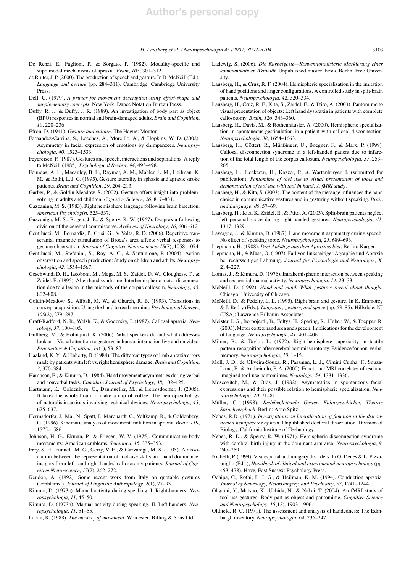*H. Lausberg et al. / Neuropsychologia 45 (2007) 3092–3104* 3103

- De Renzi, E., Faglioni, P., & Sorgato, P. (1982). Modality-specific and supramodal mechanisms of apraxia. *Brain*, *105*, 301–312.
- de Ruiter, J. P. (2000). The production of speech and gesture. In D. McNeill (Ed.), *Language and gesture* (pp. 284–311). Cambridge: Cambridge University Press.
- Dell, C. (1979). *A primer for movement description using effort-shape and supplementary concepts*. New York: Dance Notation Bureau Press.
- Duffy, R. J., & Duffy, J. R. (1989). An investigation of body part as object (BPO) responses in normal and brain-damaged adults. *Brain and Cognition*, *10*, 220–236.
- Efron, D. (1941). *Gesture and culture*. The Hague: Mouton.
- Fernandez-Carriba, S., Loeches, A., Morcillo, A., & Hopkins, W. D. (2002). Asymmetry in facial expression of emotions by chimpanzees. *Neuropsychologia*, *40*, 1523–1533.
- Feyereisen, P. (1987). Gestures and speech, interactions and separations: A reply to McNeill (1985). *Psychological Review*, *94*, 493–498.
- Foundas, A. L., Macauley, B. L., Raymer, A. M., Mahler, L. M., Heilman, K. M., & Rothi, L. J. G. (1995). Gesture laterality in aphasic and apraxic stroke patients. *Brain and Cognition*, *29*, 204–213.
- Garber, P., & Goldin-Meadow, S. (2002). Gesture offers insight into problemsolving in adults and children. *Cognitive Science*, *26*, 817–831.
- Gazzaniga, M. S. (1983). Right hemisphere language following brain bisection. *American Psychologist*, 525–537.
- Gazzaniga, M. S., Bogen, J. E., & Sperry, R. W. (1967). Dyspraxia following division of the cerebral commissures. *Archives of Neurology*, *16*, 606–612.
- Gentilucci, M., Bernardis, P., Crisi, G., & Volta, R. D. (2006). Repetitive transcranial magnetic stimulation of Broca's area affects verbal responses to gesture observation. *Journal of Cognitive Neuroscience*, *18*(7), 1058–1074.
- Gentilucci, M., Stefanini, S., Roy, A. C., & Santunione, P. (2004). Action observation and speech production: Study on children and adults. *Neuropsychologia*, *42*, 1554–1567.
- Geschwind, D. H., Iacoboni, M., Mega, M. S., Zaidel, D. W., Cloughesy, T., & Zaidel, E. (1995). Alien hand syndrome: Interhemispheric motor disconnection due to a lesion in the midbody of the corpus callosum. *Neurology*, *45*, 802–808.
- Goldin-Meadow, S., Alibali, M. W., & Church, R. B. (1993). Transitions in concept acquisition: Using the hand to read the mind. *Psychological Review*, *100*(2), 279–297.
- Graff-Radford, N. R., Welsh, K., & Godersky, J. (1987). Callosal apraxia. *Neurology*, *37*, 100–105.
- Gullberg, M., & Holmquist, K. (2006). What speakers do and what addresses look at—Visual attention to gestures in human interaction live and on video. *Pragmatics & Cognition*, *14*(1), 53–82.
- Haaland, K. Y., & Flaherty, D. (1984). The different types of limb apraxia errors made by patients with left vs. right hemisphere damage.*Brain and Cognition*, *3*, 370–384.
- Hampson, E., & Kimura, D. (1984). Hand movement asymmetries during verbal and nonverbal tasks. *Canadian Journal of Psychology*, *38*, 102–125.
- Hartmann, K., Goldenberg, G., Daumueller, M., & Hermsdoerfer, J. (2005). It takes the whole brain to make a cup of coffee: The neuropsychology of naturalistic actions involving technical devices. *Neuropsychologia*, *43*, 625–637.
- Hermsdörfer, J., Mai, N., Spatt, J., Marquardt, C., Veltkamp, R., & Goldenberg, G. (1996). Kinematic analysis of movement imitation in apraxia. *Brain*, *119*, 1575–1586.
- Johnson, H. G., Ekman, P., & Friesen, W. V. (1975). Communicative body movements: American emblems. *Semiotica*, *15*, 335–353.
- Frey, S. H., Funnell, M. G., Gerry, V. E., & Gazzaniga, M. S. (2005). A dissociation between the representation of tool-use skills and hand dominance: insights from left- and right-handed callosotomy patients. *Journal of Cognitive Neuroscience*, *17*(2), 262–272.
- Kendon, A. (1992). Some recent work from Italy on quotable gestures ('emblems'). *Journal of Linguistic Anthropology*, *2*(1), 77–93.
- Kimura, D. (1973a). Manual activity during speaking. I. Right-handers. *Neuropsychologia*, *11*, 45–50.
- Kimura, D. (1973b). Manual activity during speaking. II. Left-handers. *Neuropsychologia*, *11*, 51–55.
- Laban, R. (1988). *The mastery of movement*. Worcester: Billing & Sons Ltd..
- Ladewig, S. (2006). *Die Kurbelgeste—Konventionalisierte Markierung einer kommunikativen Aktivität*. Unpublished master thesis. Berlin: Free University.
- Lausberg, H., & Cruz, R. F. (2004). Hemispheric specialisation in the imitation of hand positions and finger configurations. A controlled study in split-brain patients. *Neuropsychologia*, *42*, 320–334.
- Lausberg, H., Cruz, R. F., Kita, S., Zaidel, E., & Ptito, A. (2003). Pantomime to visual presentation of objects: Left hand dyspraxia in patients with complete callosotomy. *Brain*, *126*, 343–360.
- Lausberg, H., Davis, M., & Rothenhäusler, A. (2000). Hemispheric specialization in spontaneous gesticulation in a patient with callosal disconnection. *Neuropsychologia*, *38*, 1654–1663.
- Lausberg, H., Göttert, R., Münßinger, U., Boegner, F., & Marx, P. (1999). Callosal disconnection syndrome in a left-handed patient due to infarction of the total length of the corpus callosum. *Neuropsychologia*, *37*, 253– 265.
- Lausberg, H., Heekeren, H., Kazzer, P., & Wartenburger, I. (submitted for publication). *Pantomime of tool use to visual presentation of tools and demonstration of tool use with tool in hand: A fMRI study*.
- Lausberg, H., & Kita, S. (2003). The content of the message influences the hand choice in communicative gestures and in gesturing without speaking. *Brain and Language*, *86*, 57–69.
- Lausberg, H., Kita, S., Zaidel, E., & Ptito, A. (2003). Split-brain patients neglect left personal space during right-handed gestures. *Neuropsychologia*, *41*, 1317–1329.
- Lavergne, J., & Kimura, D. (1987). Hand movement asymmetry during speech: No effect of speaking topic. *Neuropsychologia*, *25*, 689–693.
- Liepmann, H. (1908). *Drei Aufs ¨atze aus dem Apraxiegebiet*. Berlin: Karger.
- Liepmann, H., & Maas, O. (1907). Fall von linksseitiger Agraphie und Apraxie bei rechtsseitiger Lähmung. Journal für Psychologie und Neurologie, X, 214–227.
- Lomas, J., & Kimura, D. (1976). Intrahemispheric interaction between speaking and sequential manual activity. *Neuropsychologia*, *14*, 23–33.
- McNeill, D. (1992). *Hand and mind. What gestures reveal about thought*. Chicago: University of Chicago.
- McNeill, D., & Pedelty, L. L. (1995). Right brain and gesture. In K. Emmorey & J. Reilty (Eds.), *Language, gesture, and space* (pp. 63–85). Hillsdale, NJ (USA): Lawrence Erlbaum Associates.
- Meister, I. G., Boroojerdi, B., Foltys, H., Sparing, R., Huber, W., & Toepper, R. (2003). Motor cortex hand area and speech: Implications for the development of language. *Neuropsychologia*, *41*, 401–406.
- Milner, B., & Taylor, L. (1972). Right-hemisphere superiority in tactile pattern-recognition after cerebral commissurotomy: Evidence for non-verbal memory. *Neuropsychologia*, *10*, 1–15.
- Moll, J. D., de Oliveira-Souza, R., Passman, L. J., Cimini Cunha, F., Souza-Lima, F., & Andreiuolo, P. A. (2000). Functional MRI correlates of real and imagined tool-use pantomimes. *Neurology*, *54*, 1331–1336.
- Moscovitch, M., & Olds, J. (1982). Asymmetries in spontaneous facial expressions and their possible relation to hemispheric specialization. *Neuropsychologia*, *20*, 71–81.
- Müller, C. (1998). Redebegleitende Gesten-Kulturgeschichte, Theorie *Sprachvergleich*. Berlin: Arno Spitz.
- Nebes, R.D. (1971). *Investigations on lateralization of function in the disconnected hemiphseres of man*. Unpublished doctoral dissertation. Division of Biology, California Institute of Technology.
- Nebes, R. D., & Sperry, R. W. (1971). Hemispheric disconnection syndrome with cerebral birth injury in the dominant arm area. *Neuropsychologia*, *9*, 247–259.
- Nichelli, P. (1999). Visuospatial and imagery disorders. In G. Denes & L. Pizzamiglio (Eds.), *Handbook of clinical and experimental neuropsychology* (pp. 453–478). Hove, East Sussex: Psychology Press.
- Ochipa, C., Rothi, L. J. G., & Heilman, K. M. (1994). Conduction apraxia. *Journal of Neurology, Neurosurgery, and Psychiatry*, *57*, 1241–1244.
- Ohgami, Y., Matsuo, K., Uchida, N., & Nakai, T. (2004). An fMRI study of tool-use gestures: Body part as object and pantomime. *Cognitive Science and Neuropsychology*, *15*(12), 1903–1906.
- Oldfield, R. C. (1971). The assessment and analysis of handedness: The Edinburgh inventory. *Neuropsychologia*, *64*, 236–247.